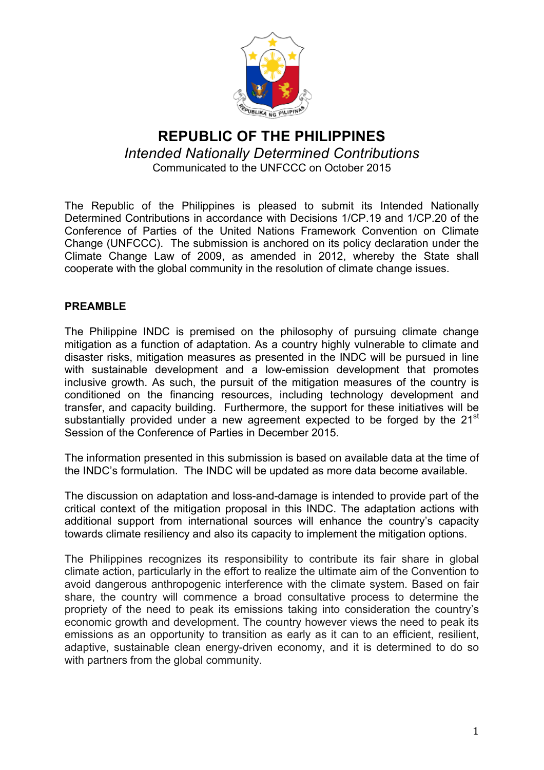

# **REPUBLIC OF THE PHILIPPINES** *Intended Nationally Determined Contributions* Communicated to the UNFCCC on October 2015

The Republic of the Philippines is pleased to submit its Intended Nationally Determined Contributions in accordance with Decisions 1/CP.19 and 1/CP.20 of the Conference of Parties of the United Nations Framework Convention on Climate Change (UNFCCC). The submission is anchored on its policy declaration under the Climate Change Law of 2009, as amended in 2012, whereby the State shall cooperate with the global community in the resolution of climate change issues.

### **PREAMBLE**

The Philippine INDC is premised on the philosophy of pursuing climate change mitigation as a function of adaptation. As a country highly vulnerable to climate and disaster risks, mitigation measures as presented in the INDC will be pursued in line with sustainable development and a low-emission development that promotes inclusive growth. As such, the pursuit of the mitigation measures of the country is conditioned on the financing resources, including technology development and transfer, and capacity building. Furthermore, the support for these initiatives will be substantially provided under a new agreement expected to be forged by the 21<sup>st</sup> Session of the Conference of Parties in December 2015.

The information presented in this submission is based on available data at the time of the INDC's formulation. The INDC will be updated as more data become available.

The discussion on adaptation and loss-and-damage is intended to provide part of the critical context of the mitigation proposal in this INDC. The adaptation actions with additional support from international sources will enhance the country's capacity towards climate resiliency and also its capacity to implement the mitigation options.

The Philippines recognizes its responsibility to contribute its fair share in global climate action, particularly in the effort to realize the ultimate aim of the Convention to avoid dangerous anthropogenic interference with the climate system. Based on fair share, the country will commence a broad consultative process to determine the propriety of the need to peak its emissions taking into consideration the country's economic growth and development. The country however views the need to peak its emissions as an opportunity to transition as early as it can to an efficient, resilient, adaptive, sustainable clean energy-driven economy, and it is determined to do so with partners from the global community.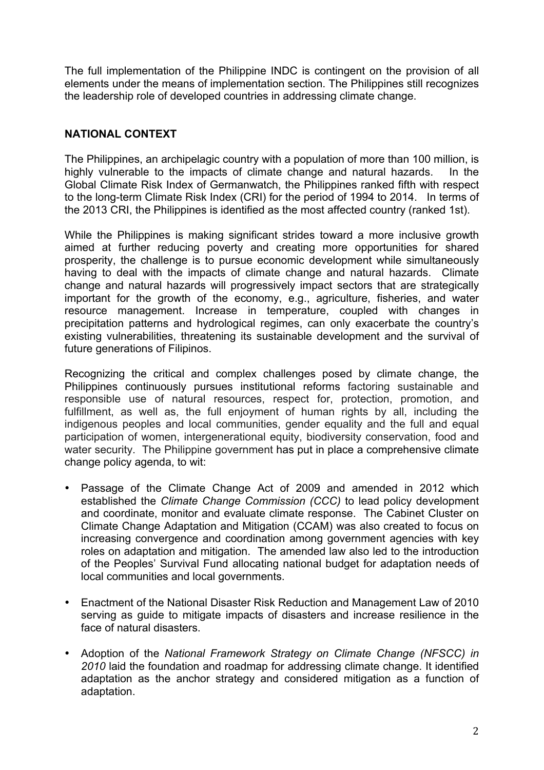The full implementation of the Philippine INDC is contingent on the provision of all elements under the means of implementation section. The Philippines still recognizes the leadership role of developed countries in addressing climate change.

#### **NATIONAL CONTEXT**

The Philippines, an archipelagic country with a population of more than 100 million, is highly vulnerable to the impacts of climate change and natural hazards. In the Global Climate Risk Index of Germanwatch, the Philippines ranked fifth with respect to the long-term Climate Risk Index (CRI) for the period of 1994 to 2014. In terms of the 2013 CRI, the Philippines is identified as the most affected country (ranked 1st).

While the Philippines is making significant strides toward a more inclusive growth aimed at further reducing poverty and creating more opportunities for shared prosperity, the challenge is to pursue economic development while simultaneously having to deal with the impacts of climate change and natural hazards. Climate change and natural hazards will progressively impact sectors that are strategically important for the growth of the economy, e.g., agriculture, fisheries, and water resource management. Increase in temperature, coupled with changes in precipitation patterns and hydrological regimes, can only exacerbate the country's existing vulnerabilities, threatening its sustainable development and the survival of future generations of Filipinos.

Recognizing the critical and complex challenges posed by climate change, the Philippines continuously pursues institutional reforms factoring sustainable and responsible use of natural resources, respect for, protection, promotion, and fulfillment, as well as, the full enjoyment of human rights by all, including the indigenous peoples and local communities, gender equality and the full and equal participation of women, intergenerational equity, biodiversity conservation, food and water security. The Philippine government has put in place a comprehensive climate change policy agenda, to wit:

- Passage of the Climate Change Act of 2009 and amended in 2012 which established the *Climate Change Commission (CCC)* to lead policy development and coordinate, monitor and evaluate climate response. The Cabinet Cluster on Climate Change Adaptation and Mitigation (CCAM) was also created to focus on increasing convergence and coordination among government agencies with key roles on adaptation and mitigation. The amended law also led to the introduction of the Peoples' Survival Fund allocating national budget for adaptation needs of local communities and local governments.
- Enactment of the National Disaster Risk Reduction and Management Law of 2010 serving as guide to mitigate impacts of disasters and increase resilience in the face of natural disasters.
- Adoption of the *National Framework Strategy on Climate Change (NFSCC) in 2010* laid the foundation and roadmap for addressing climate change. It identified adaptation as the anchor strategy and considered mitigation as a function of adaptation.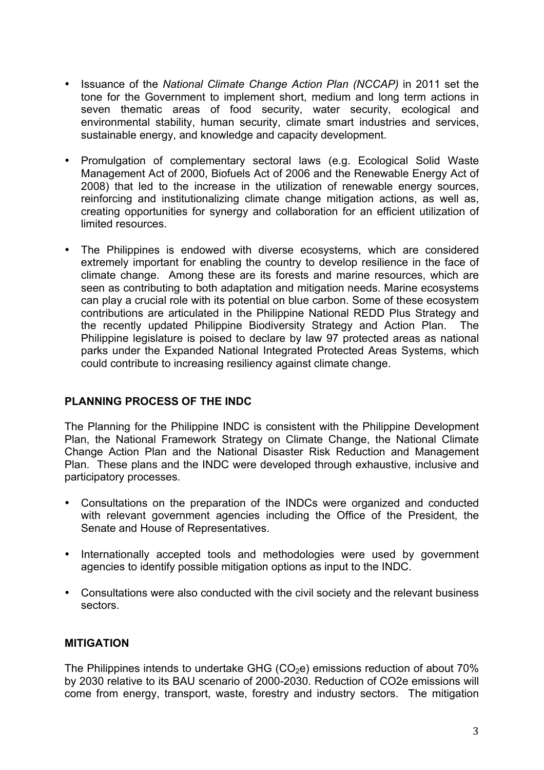- Issuance of the *National Climate Change Action Plan (NCCAP)* in 2011 set the tone for the Government to implement short, medium and long term actions in seven thematic areas of food security, water security, ecological and environmental stability, human security, climate smart industries and services, sustainable energy, and knowledge and capacity development.
- Promulgation of complementary sectoral laws (e.g. Ecological Solid Waste Management Act of 2000, Biofuels Act of 2006 and the Renewable Energy Act of 2008) that led to the increase in the utilization of renewable energy sources, reinforcing and institutionalizing climate change mitigation actions, as well as, creating opportunities for synergy and collaboration for an efficient utilization of limited resources.
- The Philippines is endowed with diverse ecosystems, which are considered extremely important for enabling the country to develop resilience in the face of climate change. Among these are its forests and marine resources, which are seen as contributing to both adaptation and mitigation needs. Marine ecosystems can play a crucial role with its potential on blue carbon. Some of these ecosystem contributions are articulated in the Philippine National REDD Plus Strategy and the recently updated Philippine Biodiversity Strategy and Action Plan. The Philippine legislature is poised to declare by law 97 protected areas as national parks under the Expanded National Integrated Protected Areas Systems, which could contribute to increasing resiliency against climate change.

#### **PLANNING PROCESS OF THE INDC**

The Planning for the Philippine INDC is consistent with the Philippine Development Plan, the National Framework Strategy on Climate Change, the National Climate Change Action Plan and the National Disaster Risk Reduction and Management Plan. These plans and the INDC were developed through exhaustive, inclusive and participatory processes.

- Consultations on the preparation of the INDCs were organized and conducted with relevant government agencies including the Office of the President, the Senate and House of Representatives.
- Internationally accepted tools and methodologies were used by government agencies to identify possible mitigation options as input to the INDC.
- Consultations were also conducted with the civil society and the relevant business sectors.

#### **MITIGATION**

The Philippines intends to undertake GHG ( $CO<sub>2</sub>e$ ) emissions reduction of about 70% by 2030 relative to its BAU scenario of 2000-2030. Reduction of CO2e emissions will come from energy, transport, waste, forestry and industry sectors. The mitigation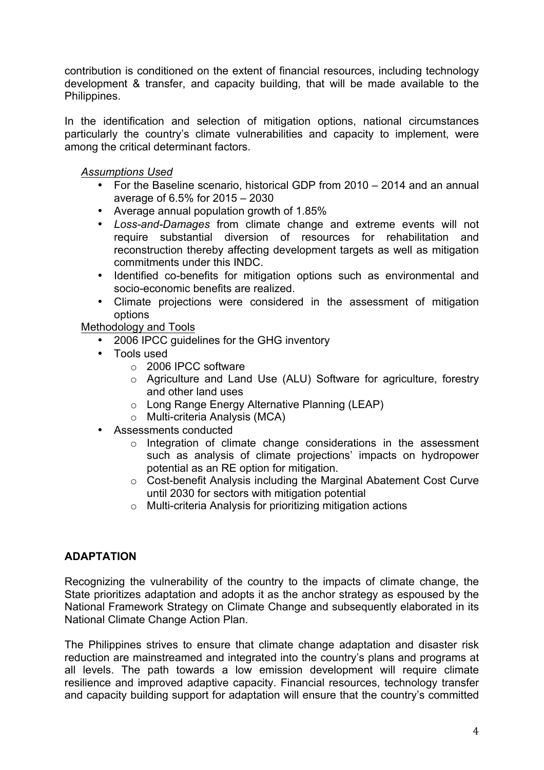contribution is conditioned on the extent of financial resources, including technology development & transfer, and capacity building, that will be made available to the Philippines.

In the identification and selection of mitigation options, national circumstances particularly the country's climate vulnerabilities and capacity to implement, were among the critical determinant factors.

#### *Assumptions Used*

- For the Baseline scenario, historical GDP from 2010 2014 and an annual average of 6.5% for 2015 – 2030
- Average annual population growth of 1.85%
- *Loss-and-Damages* from climate change and extreme events will not require substantial diversion of resources for rehabilitation and reconstruction thereby affecting development targets as well as mitigation commitments under this INDC.
- Identified co-benefits for mitigation options such as environmental and socio-economic benefits are realized.
- Climate projections were considered in the assessment of mitigation options

Methodology and Tools

- 2006 IPCC guidelines for the GHG inventory
- Tools used
	- o 2006 IPCC software
	- o Agriculture and Land Use (ALU) Software for agriculture, forestry and other land uses
	- o Long Range Energy Alternative Planning (LEAP)
	- o Multi-criteria Analysis (MCA)
- Assessments conducted
	- o Integration of climate change considerations in the assessment such as analysis of climate projections' impacts on hydropower potential as an RE option for mitigation.
	- o Cost-benefit Analysis including the Marginal Abatement Cost Curve until 2030 for sectors with mitigation potential
	- o Multi-criteria Analysis for prioritizing mitigation actions

#### **ADAPTATION**

Recognizing the vulnerability of the country to the impacts of climate change, the State prioritizes adaptation and adopts it as the anchor strategy as espoused by the National Framework Strategy on Climate Change and subsequently elaborated in its National Climate Change Action Plan.

The Philippines strives to ensure that climate change adaptation and disaster risk reduction are mainstreamed and integrated into the country's plans and programs at all levels. The path towards a low emission development will require climate resilience and improved adaptive capacity. Financial resources, technology transfer and capacity building support for adaptation will ensure that the country's committed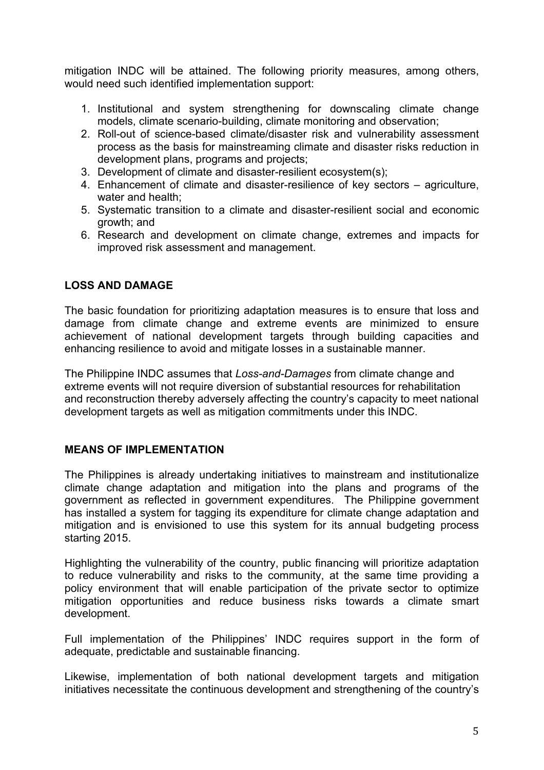mitigation INDC will be attained. The following priority measures, among others, would need such identified implementation support:

- 1. Institutional and system strengthening for downscaling climate change models, climate scenario-building, climate monitoring and observation;
- 2. Roll-out of science-based climate/disaster risk and vulnerability assessment process as the basis for mainstreaming climate and disaster risks reduction in development plans, programs and projects;
- 3. Development of climate and disaster-resilient ecosystem(s);
- 4. Enhancement of climate and disaster-resilience of key sectors agriculture, water and health;
- 5. Systematic transition to a climate and disaster-resilient social and economic growth; and
- 6. Research and development on climate change, extremes and impacts for improved risk assessment and management.

## **LOSS AND DAMAGE**

The basic foundation for prioritizing adaptation measures is to ensure that loss and damage from climate change and extreme events are minimized to ensure achievement of national development targets through building capacities and enhancing resilience to avoid and mitigate losses in a sustainable manner.

The Philippine INDC assumes that *Loss-and-Damages* from climate change and extreme events will not require diversion of substantial resources for rehabilitation and reconstruction thereby adversely affecting the country's capacity to meet national development targets as well as mitigation commitments under this INDC.

#### **MEANS OF IMPLEMENTATION**

The Philippines is already undertaking initiatives to mainstream and institutionalize climate change adaptation and mitigation into the plans and programs of the government as reflected in government expenditures. The Philippine government has installed a system for tagging its expenditure for climate change adaptation and mitigation and is envisioned to use this system for its annual budgeting process starting 2015.

Highlighting the vulnerability of the country, public financing will prioritize adaptation to reduce vulnerability and risks to the community, at the same time providing a policy environment that will enable participation of the private sector to optimize mitigation opportunities and reduce business risks towards a climate smart development.

Full implementation of the Philippines' INDC requires support in the form of adequate, predictable and sustainable financing.

Likewise, implementation of both national development targets and mitigation initiatives necessitate the continuous development and strengthening of the country's